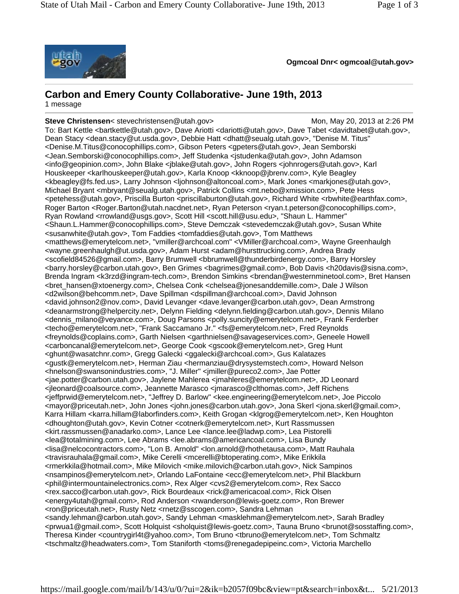

**Ogmcoal Dnr< ogmcoal@utah.gov>**

## **Carbon and Emery County Collaborative- June 19th, 2013**

1 message

**Steve Christensen**< stevechristensen@utah.gov> Mon, May 20, 2013 at 2:26 PM To: Bart Kettle <bra>>bartkettle@utah.gov>, Dave Ariotti <dariotti@utah.gov>, Dave Tabet <davidtabet@utah.gov>, Dean Stacy <dean.stacy@ut.usda.gov>, Debbie Hatt <dhatt@seualg.utah.gov>, "Denise M. Titus" <Denise.M.Titus@conocophillips.com>, Gibson Peters <gpeters@utah.gov>, Jean Semborski <Jean.Semborski@conocophillips.com>, Jeff Studenka <jstudenka@utah.gov>, John Adamson <info@geopinion.com>, John Blake <jblake@utah.gov>, John Rogers <johnrogers@utah.gov>, Karl Houskeeper <karlhouskeeper@utah.gov>, Karla Knoop <kknoop@jbrenv.com>, Kyle Beagley <kbeagley@fs.fed.us>, Larry Johnson <ljohnson@altoncoal.com>, Mark Jones <markjones@utah.gov>, Michael Bryant <mbryant@seualg.utah.gov>, Patrick Collins <mt.nebo@xmission.com>, Pete Hess <petehess@utah.gov>, Priscilla Burton <priscillaburton@utah.gov>, Richard White <rbwhite@earthfax.com>, Roger Barton <Roger.Barton@utah.nacdnet.net>, Ryan Peterson <r van.t.peterson@conocophillips.com>, Ryan Rowland <rrowland@usgs.gov>, Scott Hill <scott.hill@usu.edu>, "Shaun L. Hammer" <Shaun.L.Hammer@conocophillips.com>, Steve Demczak <stevedemczak@utah.gov>, Susan White <susanwhite@utah.gov>, Tom Faddies <tomfaddies@utah.gov>, Tom Matthews <matthews@emerytelcom.net>, "vmiller@archcoal.com" <VMiller@archcoal.com>, Wayne Greenhaulgh <wayne.greenhaulgh@ut.usda.gov>, Adam Hurst <adam@hursttrucking.com>, Andrea Brady <scofield84526@gmail.com>, Barry Brumwell <bbrumwell@thunderbirdenergy.com>, Barry Horsley <barry.horsley@carbon.utah.gov>, Ben Grimes <bagrimes@gmail.com>, Bob Davis <h20davis@sisna.com>, Brenda Ingram <k3rzd@ingram-tech.com>, Brendon Simkins <brendan@westernminetool.com>, Bret Hansen <bret\_hansen@xtoenergy.com>, Chelsea Conk <chelsea@jonesanddemille.com>, Dale J Wilson <d2wilson@behcomm.net>, Dave Spillman <dspillman@archcoal.com>, David Johnson <david.johnson2@nov.com>, David Levanger <dave.levanger@carbon.utah.gov>, Dean Armstrong <deanarmstrong@helpercity.net>, Delynn Fielding <delynn.fielding@carbon.utah.gov>, Dennis Milano <dennis\_milano@veyance.com>, Doug Parsons <polly.suncity@emerytelcom.net>, Frank Ferderber <techo@emerytelcom.net>, "Frank Saccamano Jr." <fs@emerytelcom.net>, Fred Reynolds <freynolds@coplains.com>, Garth Nielsen <garthnielsen@savageservices.com>, Geneele Howell <carboncanal@emerytelcom.net>, George Cook <gscook@emerytelcom.net>, Greg Hunt <ghunt@wasatchnr.com>, Gregg Galecki <ggalecki@archcoal.com>, Gus Kalatazes <gustk@emerytelcom.net>, Herman Ziau <hermanziau@drysystemstech.com>, Howard Nelson <hnelson@swansonindustries.com>, "J. Miller" <jmiller@pureco2.com>, Jae Potter <jae.potter@carbon.utah.gov>, Jaylene Mahlerea <jmahleres@emerytelcom.net>, JD Leonard <jleonard@coalsource.com>, Jeannette Marasco <jmarasco@clthomas.com>, Jeff Richens <jeffprwid@emerytelcom.net>, "Jeffrey D. Barlow" <kee.engineering@emerytelcom.net>, Joe Piccolo <mayor@priceutah.net>, John Jones <john.jones@carbon.utah.gov>, Jona Skerl <jona.skerl@gmail.com>, Karra Hillam <karra.hillam@laborfinders.com>, Keith Grogan <klgrog@emerytelcom.net>, Ken Houghton <dhoughton@utah.gov>, Kevin Cotner <cotnerk@emerytelcom.net>, Kurt Rassmussen <kirt.rassmussen@anadarko.com>, Lance Lee <lance.lee@ladwp.com>, Lea Pistorelli <lea@totalmining.com>, Lee Abrams <lee.abrams@americancoal.com>, Lisa Bundy <lisa@nelcocontractors.com>, "Lon B. Arnold" <lon.arnold@rhothetausa.com>, Matt Rauhala <travisrauhala@gmail.com>, Mike Cerelli <mcerelli@btoperating.com>, Mike Erikkila <rmerkkila@hotmail.com>, Mike Milovich <mike.milovich@carbon.utah.gov>, Nick Sampinos <nsampinos@emerytelcom.net>, Orlando LaFontaine <ecc@emerytelcom.net>, Phil Blackburn <phil@intermountainelectronics.com>, Rex Alger <cvs2@emerytelcom.com>, Rex Sacco <rex.sacco@carbon.utah.gov>, Rick Bourdeaux <rick@americacoal.com>, Rick Olsen <energy4utah@gmail.com>, Rod Anderson <rwanderson@lewis-goetz.com>, Ron Brewer <ron@priceutah.net>, Rusty Netz <rnetz@sscogen.com>, Sandra Lehman <sandy.lehman@carbon.utah.gov>, Sandy Lehman <masklehman@emerytelcom.net>, Sarah Bradley <prwua1@gmail.com>, Scott Holquist <sholquist@lewis-goetz.com>, Tauna Bruno <brunot@sosstaffing.com>, Theresa Kinder <countrygirl4t@yahoo.com>, Tom Bruno <tbruno@emerytelcom.net>, Tom Schmaltz <tschmaltz@headwaters.com>, Tom Staniforth <toms@renegadepipeinc.com>, Victoria Marchello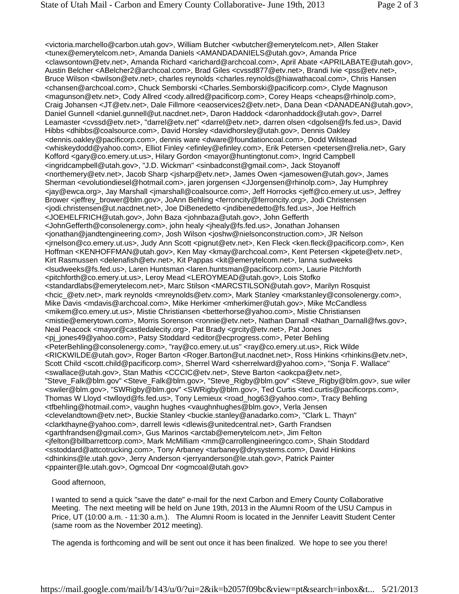<victoria.marchello@carbon.utah.gov>, William Butcher <wbutcher@emerytelcom.net>, Allen Staker <tunex@emerytelcom.net>, Amanda Daniels <AMANDADANIELS@utah.gov>, Amanda Price <clawsontown@etv.net>, Amanda Richard <arichard@archcoal.com>, April Abate <APRILABATE@utah.gov>, Austin Belcher <ABelcher2@archcoal.com>, Brad Giles <cvssd877@etv.net>, Brandi Ivie <pss@etv.net>, Bruce Wilson <br/> <br/> <br/>
sety.net>, charles reynolds <charles.reynolds@hiawathacoal.com>, Chris Hansen <chansen@archcoal.com>, Chuck Semborski <Charles.Semborski@pacificorp.com>, Clyde Magnuson <magunson@etv.net>, Cody Allred <cody.allred@pacificorp.com>, Corey Heaps <cheaps@rhinolp.com>, Craig Johansen <JT@etv.net>, Dale Fillmore <eaoservices2@etv.net>, Dana Dean <DANADEAN@utah.gov>, Daniel Gunnell <daniel.gunnell@ut.nacdnet.net>, Daron Haddock <daronhaddock@utah.gov>, Darrel Leamaster <cvssd@etv.net>, "darrel@etv.net" <darrel@etv.net>, darren olsen <dgolsen@fs.fed.us>, David Hibbs <dhibbs@coalsource.com>, David Horsley <davidhorsley@utah.gov>, Dennis Oakley <dennis.oakley@pacificorp.com>, dennis ware <dware@foundationcoal.com>, Dodd Wilstead <whiskeydodd@yahoo.com>, Elliot Finley <efinley@efinley.com>, Erik Petersen <petersen@relia.net>, Gary Kofford <gary@co.emery.ut.us>, Hilary Gordon <mayor@huntingtonut.com>, Ingrid Campbell <ingridcampbell@utah.gov>, "J.D. Wickman" <sinbadconst@gmail.com>, Jack Stoyanoff <northemery@etv.net>, Jacob Sharp <jsharp@etv.net>, James Owen <jamesowen@utah.gov>, James Sherman <evolutiondiesel@hotmail.com>, jaren jorgensen <JJorgensen@rhinolp.com>, Jay Humphrey <jay@ewca.org>, Jay Marshall <jmarshall@coalsource.com>, Jeff Horrocks <jeff@co.emery.ut.us>, Jeffrey Brower <jeffrey\_brower@blm.gov>, JoAnn Behling <ferroncity@ferroncity.org>, Jodi Christensen <jodi.christensen@ut.nacdnet.net>, Joe DiBenedetto <jndibenedetto@fs.fed.us>, Joe Helfrich <JOEHELFRICH@utah.gov>, John Baza <johnbaza@utah.gov>, John Gefferth <JohnGefferth@consolenergy.com>, john healy <jhealy@fs.fed.us>, Jonathan Johansen <jonathan@jandtengineering.com>, Josh Wilson <joshw@nielsonconstruction.com>, JR Nelson <jrnelson@co.emery.ut.us>, Judy Ann Scott <pignut@etv.net>, Ken Fleck <ken.fleck@pacificorp.com>, Ken Hoffman <KENHOFFMAN@utah.gov>, Ken May <kmay@archcoal.com>, Kent Petersen <kjpete@etv.net>, Kirt Rasmussen <delenafish@etv.net>, Kit Pappas <kit@emerytelcom.net>, lanna sudweeks <lsudweeks@fs.fed.us>, Laren Huntsman <laren.huntsman@pacificorp.com>, Laurie Pitchforth <pitchforth@co.emery.ut.us>, Leroy Mead <LEROYMEAD@utah.gov>, Lois Stofko <standardlabs@emerytelecom.net>, Marc Stilson <MARCSTILSON@utah.gov>, Marilyn Rosquist <hcic\_@etv.net>, mark reynolds <mreynolds@etv.com>, Mark Stanley <markstanley@consolenergy.com>, Mike Davis <mdavis@archcoal.com>, Mike Herkimer <mherkimer@utah.gov>, Mike McCandless <mikem@co.emery.ut.us>, Mistie Christiansen <betterhorse@yahoo.com>, Mistie Christiansen <mistie@emerytown.com>, Morris Sorenson <ronnie@etv.net>, Nathan Darnall <Nathan\_Darnall@fws.gov>, Neal Peacock <mayor@castledalecity.org>, Pat Brady <grcity@etv.net>, Pat Jones <pj\_jones49@yahoo.com>, Patsy Stoddard <editor@ecprogress.com>, Peter Behling <PeterBehling@consolenergy.com>, "ray@co.emery.ut.us" <ray@co.emery.ut.us>, Rick Wilde <RICKWILDE@utah.gov>, Roger Barton <Roger.Barton@ut.nacdnet.net>, Ross Hinkins <rhinkins@etv.net>, Scott Child <scott.child@pacificorp.com>, Sherrel Ward <sherrelward@yahoo.com>, "Sonja F. Wallace" <swallace@utah.gov>, Stan Mathis <CCCIC@etv.net>, Steve Barton <aokcpa@etv.net>, "Steve\_Falk@blm.gov" <Steve\_Falk@blm.gov>, "Steve\_Rigby@blm.gov" <Steve\_Rigby@blm.gov>, sue wiler <swiler@blm.gov>, "SWRigby@blm.gov" <SWRigby@blm.gov>, Ted Curtis <ted.curtis@pacificorps.com>, Thomas W Lloyd <twlloyd@fs.fed.us>, Tony Lemieux <road\_hog63@yahoo.com>, Tracy Behling <tfbehling@hotmail.com>, vaughn hughes <vaughnhughes@blm.gov>, Verla Jensen <clevelandtown@etv.net>, Buckie Stanley <buckie.stanley@anadarko.com>, "Clark L. Thayn" <clarkthayne@yahoo.com>, darrell lewis <dlewis@unitedcentral.net>, Garth Frandsen <garthfrandsen@gmail.com>, Gus Marinos <arctab@emerytelcom.net>, Jim Felton <jfelton@billbarrettcorp.com>, Mark McMilliam <mm@carrollengineeringco.com>, Shain Stoddard <sstoddard@attcotrucking.com>, Tony Arbaney <tarbaney@drysystems.com>, David Hinkins <dhinkins@le.utah.gov>, Jerry Anderson <jerryanderson@le.utah.gov>, Patrick Painter <ppainter@le.utah.gov>, Ogmcoal Dnr <ogmcoal@utah.gov>

Good afternoon,

I wanted to send a quick "save the date" e-mail for the next Carbon and Emery County Collaborative Meeting. The next meeting will be held on June 19th, 2013 in the Alumni Room of the USU Campus in Price, UT (10:00 a.m. - 11:30 a.m.). The Alumni Room is located in the Jennifer Leavitt Student Center (same room as the November 2012 meeting).

The agenda is forthcoming and will be sent out once it has been finalized. We hope to see you there!